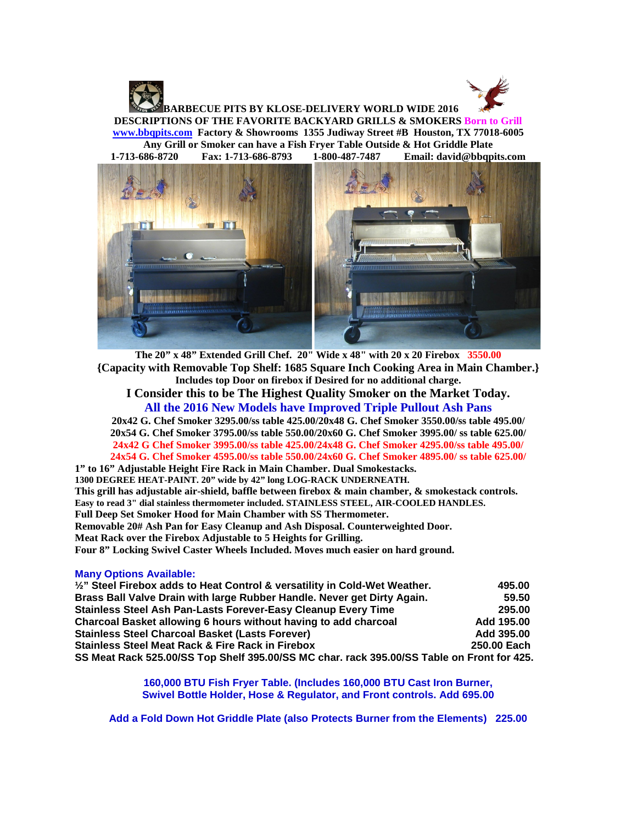

**BARBECUE PITS BY KLOSE-DELIVERY WORLD WIDE 2016 DESCRIPTIONS OF THE FAVORITE BACKYARD GRILLS & SMOKERS Born to Grill [www.bbqpits.com](http://www.bbqpits.com/) Factory & Showrooms 1355 Judiway Street #B Houston, TX 77018-6005**

**Any Grill or Smoker can have a Fish Fryer Table Outside & Hot Griddle Plate 1-713-686-8720 Fax: 1-713-686-8793 1-800-487-7487 Email: david@bbqpits.com**



**The 20" x 48" Extended Grill Chef. 20" Wide x 48" with 20 x 20 Firebox 3550.00 {Capacity with Removable Top Shelf: 1685 Square Inch Cooking Area in Main Chamber.} Includes top Door on firebox if Desired for no additional charge. I Consider this to be The Highest Quality Smoker on the Market Today. All the 2016 New Models have Improved Triple Pullout Ash Pans 20x42 G. Chef Smoker 3295.00/ss table 425.00/20x48 G. Chef Smoker 3550.00/ss table 495.00/ 20x54 G. Chef Smoker 3795.00/ss table 550.00/20x60 G. Chef Smoker 3995.00/ ss table 625.00/ 24x42 G Chef Smoker 3995.00/ss table 425.00/24x48 G. Chef Smoker 4295.00/ss table 495.00/ 24x54 G. Chef Smoker 4595.00/ss table 550.00/24x60 G. Chef Smoker 4895.00/ ss table 625.00/ 1" to 16" Adjustable Height Fire Rack in Main Chamber. Dual Smokestacks. 1300 DEGREE HEAT-PAINT. 20" wide by 42" long LOG-RACK UNDERNEATH. This grill has adjustable air-shield, baffle between firebox & main chamber, & smokestack controls. Easy to read 3" dial stainless thermometer included. STAINLESS STEEL, AIR-COOLED HANDLES. Full Deep Set Smoker Hood for Main Chamber with SS Thermometer.**

**Removable 20# Ash Pan for Easy Cleanup and Ash Disposal. Counterweighted Door.**

**Meat Rack over the Firebox Adjustable to 5 Heights for Grilling.**

**Four 8" Locking Swivel Caster Wheels Included. Moves much easier on hard ground.** 

## **Many Options Available:**

| 1/2" Steel Firebox adds to Heat Control & versatility in Cold-Wet Weather.                 | 495.00      |
|--------------------------------------------------------------------------------------------|-------------|
| Brass Ball Valve Drain with large Rubber Handle. Never get Dirty Again.                    | 59.50       |
| Stainless Steel Ash Pan-Lasts Forever-Easy Cleanup Every Time                              | 295.00      |
| Charcoal Basket allowing 6 hours without having to add charcoal                            | Add 195.00  |
| <b>Stainless Steel Charcoal Basket (Lasts Forever)</b>                                     | Add 395.00  |
| <b>Stainless Steel Meat Rack &amp; Fire Rack in Firebox</b>                                | 250.00 Each |
| SS Meat Rack 525.00/SS Top Shelf 395.00/SS MC char. rack 395.00/SS Table on Front for 425. |             |

**160,000 BTU Fish Fryer Table. (Includes 160,000 BTU Cast Iron Burner, Swivel Bottle Holder, Hose & Regulator, and Front controls. Add 695.00**

**Add a Fold Down Hot Griddle Plate (also Protects Burner from the Elements) 225.00**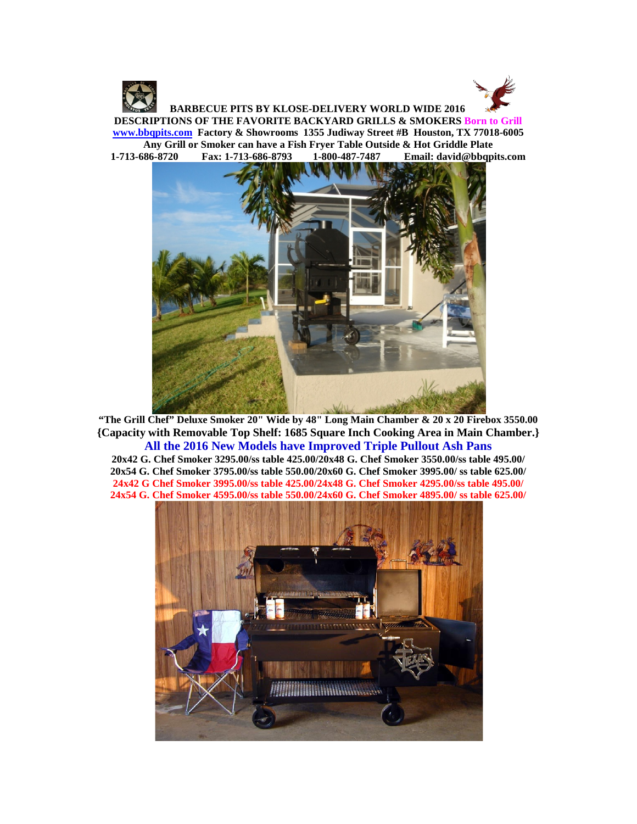

 **BARBECUE PITS BY KLOSE-DELIVERY WORLD WIDE 2016 DESCRIPTIONS OF THE FAVORITE BACKYARD GRILLS & SMOKERS Born to Grill [www.bbqpits.com](http://www.bbqpits.com/) Factory & Showrooms 1355 Judiway Street #B Houston, TX 77018-6005 Any Grill or Smoker can have a Fish Fryer Table Outside & Hot Griddle Plate 1-713-686-8720 Fax: 1-713-686-8793 1-800-487-7487 Email: david@bbqpits.com**



**"The Grill Chef" Deluxe Smoker 20" Wide by 48" Long Main Chamber & 20 x 20 Firebox 3550.00 {Capacity with Removable Top Shelf: 1685 Square Inch Cooking Area in Main Chamber.} All the 2016 New Models have Improved Triple Pullout Ash Pans**

**20x42 G. Chef Smoker 3295.00/ss table 425.00/20x48 G. Chef Smoker 3550.00/ss table 495.00/ 20x54 G. Chef Smoker 3795.00/ss table 550.00/20x60 G. Chef Smoker 3995.00/ ss table 625.00/ 24x42 G Chef Smoker 3995.00/ss table 425.00/24x48 G. Chef Smoker 4295.00/ss table 495.00/ 24x54 G. Chef Smoker 4595.00/ss table 550.00/24x60 G. Chef Smoker 4895.00/ ss table 625.00/**